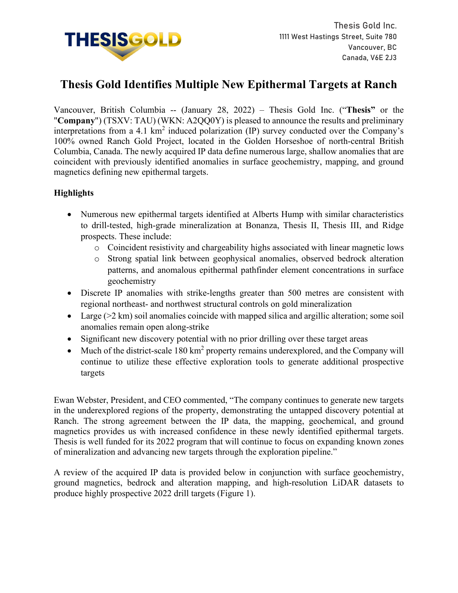

# **Thesis Gold Identifies Multiple New Epithermal Targets at Ranch**

Vancouver, British Columbia -- (January 28, 2022) – Thesis Gold Inc. ("**Thesis"** or the "**Company**") (TSXV: TAU) (WKN: A2QQ0Y) is pleased to announce the results and preliminary interpretations from a 4.1 km<sup>2</sup> induced polarization (IP) survey conducted over the Company's 100% owned Ranch Gold Project, located in the Golden Horseshoe of north-central British Columbia, Canada. The newly acquired IP data define numerous large, shallow anomalies that are coincident with previously identified anomalies in surface geochemistry, mapping, and ground magnetics defining new epithermal targets.

## **Highlights**

- Numerous new epithermal targets identified at Alberts Hump with similar characteristics to drill-tested, high-grade mineralization at Bonanza, Thesis II, Thesis III, and Ridge prospects. These include:
	- o Coincident resistivity and chargeability highs associated with linear magnetic lows
	- o Strong spatial link between geophysical anomalies, observed bedrock alteration patterns, and anomalous epithermal pathfinder element concentrations in surface geochemistry
- Discrete IP anomalies with strike-lengths greater than 500 metres are consistent with regional northeast- and northwest structural controls on gold mineralization
- Large (>2 km) soil anomalies coincide with mapped silica and argillic alteration; some soil anomalies remain open along-strike
- Significant new discovery potential with no prior drilling over these target areas
- Much of the district-scale  $180 \text{ km}^2$  property remains underexplored, and the Company will continue to utilize these effective exploration tools to generate additional prospective targets

Ewan Webster, President, and CEO commented, "The company continues to generate new targets in the underexplored regions of the property, demonstrating the untapped discovery potential at Ranch. The strong agreement between the IP data, the mapping, geochemical, and ground magnetics provides us with increased confidence in these newly identified epithermal targets. Thesis is well funded for its 2022 program that will continue to focus on expanding known zones of mineralization and advancing new targets through the exploration pipeline."

A review of the acquired IP data is provided below in conjunction with surface geochemistry, ground magnetics, bedrock and alteration mapping, and high-resolution LiDAR datasets to produce highly prospective 2022 drill targets (Figure 1).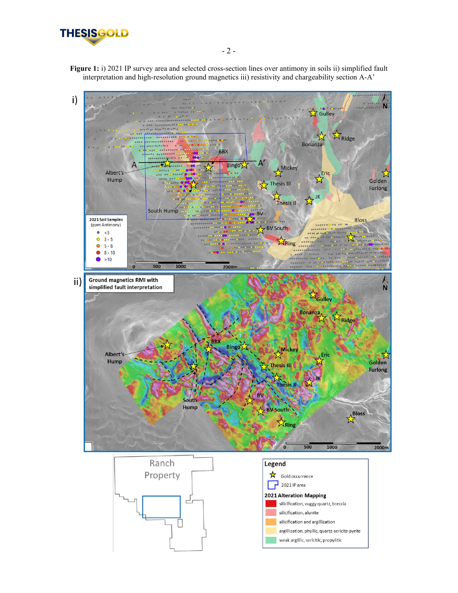

Figure 1: i) 2021 IP survey area and selected cross-section lines over antimony in soils ii) simplified fault interpretation and high-resolution ground magnetics iii) resistivity and chargeability section A-A'







- 2 -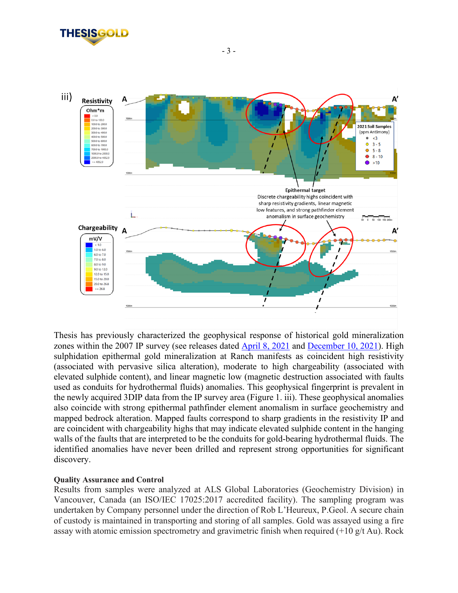



Thesis has previously characterized the geophysical response of historical gold mineralization zones within the 2007 IP survey (see releases dated [April 8, 2021](https://www.thesisgold.com/_resources/news/nr-20210408.pdf) and [December 10, 2021\)](https://www.thesisgold.com/_resources/news/nr-20211210.pdf). High sulphidation epithermal gold mineralization at Ranch manifests as coincident high resistivity (associated with pervasive silica alteration), moderate to high chargeability (associated with elevated sulphide content), and linear magnetic low (magnetic destruction associated with faults used as conduits for hydrothermal fluids) anomalies. This geophysical fingerprint is prevalent in the newly acquired 3DIP data from the IP survey area (Figure 1. iii). These geophysical anomalies also coincide with strong epithermal pathfinder element anomalism in surface geochemistry and mapped bedrock alteration. Mapped faults correspond to sharp gradients in the resistivity IP and are coincident with chargeability highs that may indicate elevated sulphide content in the hanging walls of the faults that are interpreted to be the conduits for gold-bearing hydrothermal fluids. The identified anomalies have never been drilled and represent strong opportunities for significant discovery.

### **Quality Assurance and Control**

Results from samples were analyzed at ALS Global Laboratories (Geochemistry Division) in Vancouver, Canada (an ISO/IEC 17025:2017 accredited facility). The sampling program was undertaken by Company personnel under the direction of Rob L'Heureux, P.Geol. A secure chain of custody is maintained in transporting and storing of all samples. Gold was assayed using a fire assay with atomic emission spectrometry and gravimetric finish when required (+10 g/t Au). Rock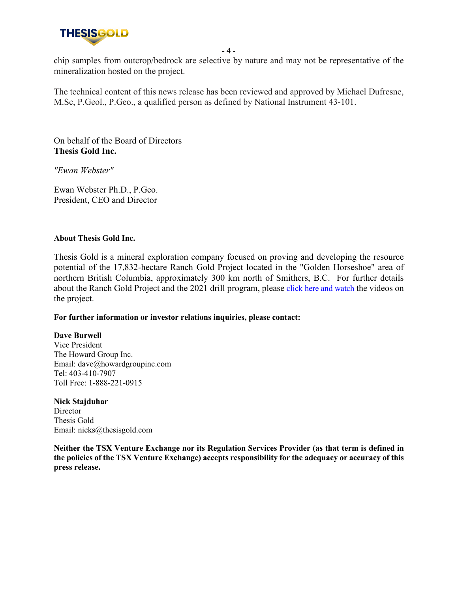

- 4 -

chip samples from outcrop/bedrock are selective by nature and may not be representative of the mineralization hosted on the project.

The technical content of this news release has been reviewed and approved by Michael Dufresne, M.Sc, P.Geol., P.Geo., a qualified person as defined by National Instrument 43-101.

On behalf of the Board of Directors **Thesis Gold Inc.**

*"Ewan Webster"*

Ewan Webster Ph.D., P.Geo. President, CEO and Director

#### **About Thesis Gold Inc.**

Thesis Gold is a mineral exploration company focused on proving and developing the resource potential of the 17,832-hectare Ranch Gold Project located in the "Golden Horseshoe" area of northern British Columbia, approximately 300 km north of Smithers, B.C. For further details about the Ranch Gold Project and the 2021 drill program, please [click here and watch](https://youtube.com/playlist?list=PLOe1lSRtOzVhGkCqVziKR2i04s_KEWy5D) the videos on the project.

#### **For further information or investor relations inquiries, please contact:**

#### **Dave Burwell**

Vice President The Howard Group Inc. Email: dave@howardgroupinc.com Tel: 403-410-7907 Toll Free: 1-888-221-0915

**Nick Stajduhar Director** Thesis Gold Email: nicks@thesisgold.com

**Neither the TSX Venture Exchange nor its Regulation Services Provider (as that term is defined in the policies of the TSX Venture Exchange) accepts responsibility for the adequacy or accuracy of this press release.**